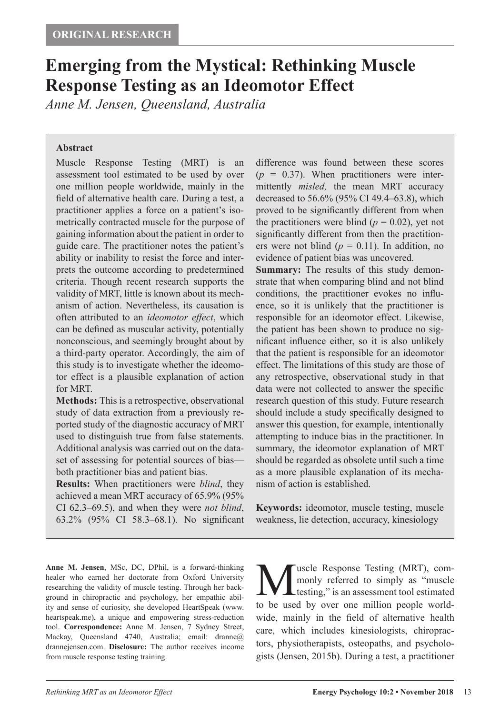# **Emerging from the Mystical: Rethinking Muscle Response Testing as an Ideomotor Effect**

*Anne M. Jensen, Queensland, Australia*

#### **Abstract**

Muscle Response Testing (MRT) is an assessment tool estimated to be used by over one million people worldwide, mainly in the field of alternative health care. During a test, a practitioner applies a force on a patient's isometrically contracted muscle for the purpose of gaining information about the patient in order to guide care. The practitioner notes the patient's ability or inability to resist the force and interprets the outcome according to predetermined criteria. Though recent research supports the validity of MRT, little is known about its mechanism of action. Nevertheless, its causation is often attributed to an *ideomotor effect*, which can be defined as muscular activity, potentially nonconscious, and seemingly brought about by a third-party operator. Accordingly, the aim of this study is to investigate whether the ideomotor effect is a plausible explanation of action for MRT.

**Methods:** This is a retrospective, observational study of data extraction from a previously reported study of the diagnostic accuracy of MRT used to distinguish true from false statements. Additional analysis was carried out on the dataset of assessing for potential sources of bias both practitioner bias and patient bias.

**Results:** When practitioners were *blind*, they achieved a mean MRT accuracy of 65.9% (95% CI 62.3–69.5), and when they were *not blind*, 63.2% (95% CI 58.3–68.1). No significant difference was found between these scores  $(p = 0.37)$ . When practitioners were intermittently *misled,* the mean MRT accuracy decreased to 56.6% (95% CI 49.4–63.8), which proved to be significantly different from when the practitioners were blind  $(p = 0.02)$ , yet not significantly different from then the practitioners were not blind  $(p = 0.11)$ . In addition, no evidence of patient bias was uncovered.

**Summary:** The results of this study demonstrate that when comparing blind and not blind conditions, the practitioner evokes no influence, so it is unlikely that the practitioner is responsible for an ideomotor effect. Likewise, the patient has been shown to produce no significant influence either, so it is also unlikely that the patient is responsible for an ideomotor effect. The limitations of this study are those of any retrospective, observational study in that data were not collected to answer the specific research question of this study. Future research should include a study specifically designed to answer this question, for example, intentionally attempting to induce bias in the practitioner. In summary, the ideomotor explanation of MRT should be regarded as obsolete until such a time as a more plausible explanation of its mechanism of action is established.

**Keywords:** ideomotor, muscle testing, muscle weakness, lie detection, accuracy, kinesiology

**Anne M. Jensen**, MSc, DC, DPhil, is a forward-thinking healer who earned her doctorate from Oxford University researching the validity of muscle testing. Through her background in chiropractic and psychology, her empathic ability and sense of curiosity, she developed HeartSpeak (www. heartspeak.me), a unique and empowering stress-reduction tool. **Correspondence:** Anne M. Jensen, 7 Sydney Street, Mackay, Queensland 4740, Australia; email: dranne@ drannejensen.com. **Disclosure:** The author receives income from muscle response testing training.

**M**uscle Response Testing (MRT), com-<br>monly referred to simply as "muscle<br>to be used by over one million people world. monly referred to simply as "muscle **Let testing,"** is an assessment tool estimated to be used by over one million people worldwide, mainly in the field of alternative health care, which includes kinesiologists, chiropractors, physiotherapists, osteopaths, and psychologists (Jensen, 2015b). During a test, a practitioner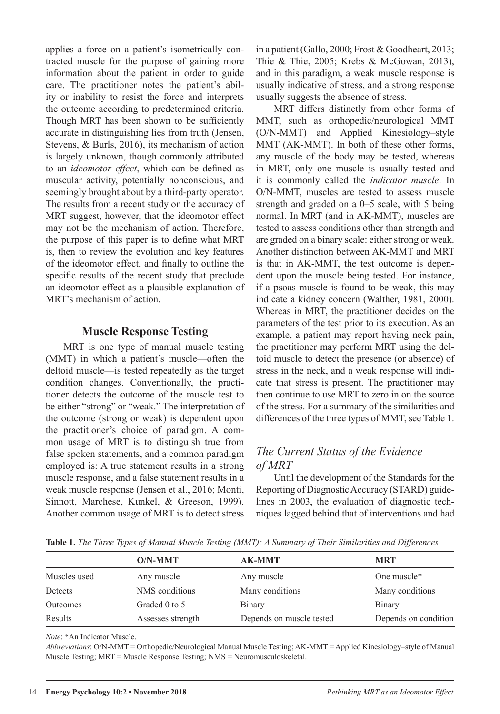applies a force on a patient's isometrically contracted muscle for the purpose of gaining more information about the patient in order to guide care. The practitioner notes the patient's ability or inability to resist the force and interprets the outcome according to predetermined criteria. Though MRT has been shown to be sufficiently accurate in distinguishing lies from truth (Jensen, Stevens, & Burls, 2016), its mechanism of action is largely unknown, though commonly attributed to an *ideomotor effect*, which can be defined as muscular activity, potentially nonconscious, and seemingly brought about by a third-party operator. The results from a recent study on the accuracy of MRT suggest, however, that the ideomotor effect may not be the mechanism of action. Therefore, the purpose of this paper is to define what MRT is, then to review the evolution and key features of the ideomotor effect, and finally to outline the specific results of the recent study that preclude an ideomotor effect as a plausible explanation of MRT's mechanism of action.

### **Muscle Response Testing**

MRT is one type of manual muscle testing (MMT) in which a patient's muscle—often the deltoid muscle—is tested repeatedly as the target condition changes. Conventionally, the practitioner detects the outcome of the muscle test to be either "strong" or "weak." The interpretation of the outcome (strong or weak) is dependent upon the practitioner's choice of paradigm. A common usage of MRT is to distinguish true from false spoken statements, and a common paradigm employed is: A true statement results in a strong muscle response, and a false statement results in a weak muscle response (Jensen et al., 2016; Monti, Sinnott, Marchese, Kunkel, & Greeson, 1999). Another common usage of MRT is to detect stress in a patient (Gallo, 2000; Frost & Goodheart, 2013; Thie & Thie, 2005; Krebs & McGowan, 2013), and in this paradigm, a weak muscle response is usually indicative of stress, and a strong response usually suggests the absence of stress.

MRT differs distinctly from other forms of MMT, such as orthopedic/neurological MMT (O/N-MMT) and Applied Kinesiology–style MMT (AK-MMT). In both of these other forms, any muscle of the body may be tested, whereas in MRT, only one muscle is usually tested and it is commonly called the *indicator muscle*. In O/N-MMT, muscles are tested to assess muscle strength and graded on a 0–5 scale, with 5 being normal. In MRT (and in AK-MMT), muscles are tested to assess conditions other than strength and are graded on a binary scale: either strong or weak. Another distinction between AK-MMT and MRT is that in AK-MMT, the test outcome is dependent upon the muscle being tested. For instance, if a psoas muscle is found to be weak, this may indicate a kidney concern (Walther, 1981, 2000). Whereas in MRT, the practitioner decides on the parameters of the test prior to its execution. As an example, a patient may report having neck pain, the practitioner may perform MRT using the deltoid muscle to detect the presence (or absence) of stress in the neck, and a weak response will indicate that stress is present. The practitioner may then continue to use MRT to zero in on the source of the stress. For a summary of the similarities and differences of the three types of MMT, see Table 1.

# *The Current Status of the Evidence of MRT*

Until the development of the Standards for the Reporting of Diagnostic Accuracy (STARD) guidelines in 2003, the evaluation of diagnostic techniques lagged behind that of interventions and had

**Table 1.** *The Three Types of Manual Muscle Testing (MMT): A Summary of Their Similarities and Differences*

|              | $O/N-MMT$         | <b>AK-MMT</b>            | <b>MRT</b>           |
|--------------|-------------------|--------------------------|----------------------|
| Muscles used | Any muscle        | Any muscle               | One muscle*          |
| Detects      | NMS conditions    | Many conditions          | Many conditions      |
| Outcomes     | Graded 0 to 5     | Binary                   | Binary               |
| Results      | Assesses strength | Depends on muscle tested | Depends on condition |

*Note*: \*An Indicator Muscle.

*Abbreviations*: O/N-MMT = Orthopedic/Neurological Manual Muscle Testing; AK-MMT = Applied Kinesiology–style of Manual Muscle Testing; MRT = Muscle Response Testing; NMS = Neuromusculoskeletal.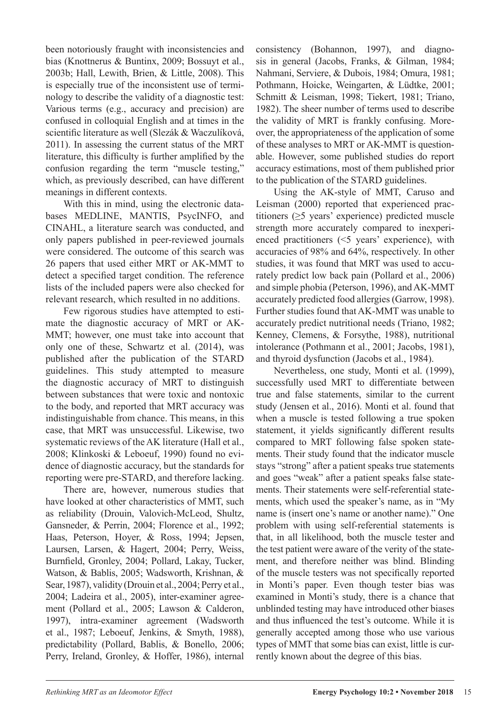been notoriously fraught with inconsistencies and bias (Knottnerus & Buntinx, 2009; Bossuyt et al., 2003b; Hall, Lewith, Brien, & Little, 2008). This is especially true of the inconsistent use of terminology to describe the validity of a diagnostic test: Various terms (e.g., accuracy and precision) are confused in colloquial English and at times in the scientific literature as well (Slezák & Waczulíková, 2011). In assessing the current status of the MRT literature, this difficulty is further amplified by the confusion regarding the term "muscle testing," which, as previously described, can have different meanings in different contexts.

With this in mind, using the electronic databases MEDLINE, MANTIS, PsycINFO, and CINAHL, a literature search was conducted, and only papers published in peer-reviewed journals were considered. The outcome of this search was 26 papers that used either MRT or AK-MMT to detect a specified target condition. The reference lists of the included papers were also checked for relevant research, which resulted in no additions.

Few rigorous studies have attempted to estimate the diagnostic accuracy of MRT or AK-MMT; however, one must take into account that only one of these, Schwartz et al. (2014), was published after the publication of the STARD guidelines. This study attempted to measure the diagnostic accuracy of MRT to distinguish between substances that were toxic and nontoxic to the body, and reported that MRT accuracy was indistinguishable from chance. This means, in this case, that MRT was unsuccessful. Likewise, two systematic reviews of the AK literature (Hall et al., 2008; Klinkoski & Leboeuf, 1990) found no evidence of diagnostic accuracy, but the standards for reporting were pre-STARD, and therefore lacking.

There are, however, numerous studies that have looked at other characteristics of MMT, such as reliability (Drouin, Valovich-McLeod, Shultz, Gansneder, & Perrin, 2004; Florence et al., 1992; Haas, Peterson, Hoyer, & Ross, 1994; Jepsen, Laursen, Larsen, & Hagert, 2004; Perry, Weiss, Burnfield, Gronley, 2004; Pollard, Lakay, Tucker, Watson, & Bablis, 2005; Wadsworth, Krishnan, & Sear, 1987), validity (Drouin et al., 2004; Perry et al., 2004; Ladeira et al., 2005), inter-examiner agreement (Pollard et al., 2005; Lawson & Calderon, 1997), intra-examiner agreement (Wadsworth et al., 1987; Leboeuf, Jenkins, & Smyth, 1988), predictability (Pollard, Bablis, & Bonello, 2006; Perry, Ireland, Gronley, & Hoffer, 1986), internal consistency (Bohannon, 1997), and diagnosis in general (Jacobs, Franks, & Gilman, 1984; Nahmani, Serviere, & Dubois, 1984; Omura, 1981; Pothmann, Hoicke, Weingarten, & Lüdtke, 2001; Schmitt & Leisman, 1998; Tiekert, 1981; Triano, 1982). The sheer number of terms used to describe the validity of MRT is frankly confusing. Moreover, the appropriateness of the application of some of these analyses to MRT or AK-MMT is questionable. However, some published studies do report accuracy estimations, most of them published prior to the publication of the STARD guidelines.

Using the AK-style of MMT, Caruso and Leisman (2000) reported that experienced practitioners (≥5 years' experience) predicted muscle strength more accurately compared to inexperienced practitioners (<5 years' experience), with accuracies of 98% and 64%, respectively. In other studies, it was found that MRT was used to accurately predict low back pain (Pollard et al., 2006) and simple phobia (Peterson, 1996), and AK-MMT accurately predicted food allergies (Garrow, 1998). Further studies found that AK-MMT was unable to accurately predict nutritional needs (Triano, 1982; Kenney, Clemens, & Forsythe, 1988), nutritional intolerance (Pothmann et al., 2001; Jacobs, 1981), and thyroid dysfunction (Jacobs et al., 1984).

Nevertheless, one study, Monti et al. (1999), successfully used MRT to differentiate between true and false statements, similar to the current study (Jensen et al., 2016). Monti et al. found that when a muscle is tested following a true spoken statement, it yields significantly different results compared to MRT following false spoken statements. Their study found that the indicator muscle stays "strong" after a patient speaks true statements and goes "weak" after a patient speaks false statements. Their statements were self-referential statements, which used the speaker's name, as in "My name is (insert one's name or another name)." One problem with using self-referential statements is that, in all likelihood, both the muscle tester and the test patient were aware of the verity of the statement, and therefore neither was blind. Blinding of the muscle testers was not specifically reported in Monti's paper. Even though tester bias was examined in Monti's study, there is a chance that unblinded testing may have introduced other biases and thus influenced the test's outcome. While it is generally accepted among those who use various types of MMT that some bias can exist, little is currently known about the degree of this bias.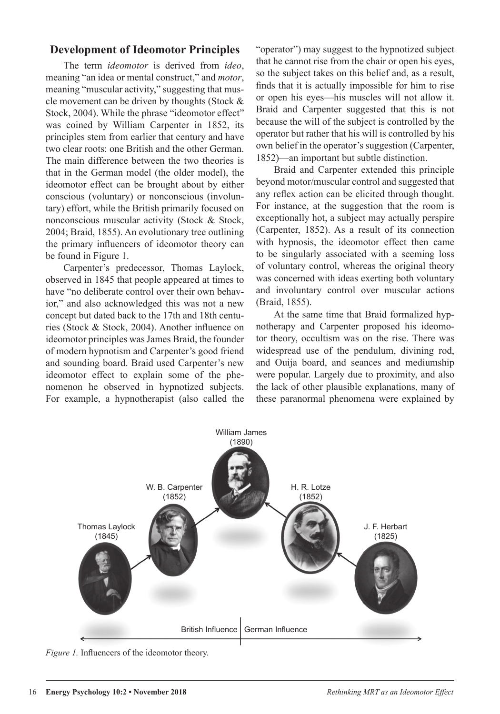# **Development of Ideomotor Principles**

The term *ideomotor* is derived from *ideo*, meaning "an idea or mental construct," and *motor*, meaning "muscular activity," suggesting that muscle movement can be driven by thoughts (Stock & Stock, 2004). While the phrase "ideomotor effect" was coined by William Carpenter in 1852, its principles stem from earlier that century and have two clear roots: one British and the other German. The main difference between the two theories is that in the German model (the older model), the ideomotor effect can be brought about by either conscious (voluntary) or nonconscious (involuntary) effort, while the British primarily focused on nonconscious muscular activity (Stock & Stock, 2004; Braid, 1855). An evolutionary tree outlining the primary influencers of ideomotor theory can be found in Figure 1.

Carpenter's predecessor, Thomas Laylock, observed in 1845 that people appeared at times to have "no deliberate control over their own behavior," and also acknowledged this was not a new concept but dated back to the 17th and 18th centuries (Stock & Stock, 2004). Another influence on ideomotor principles was James Braid, the founder of modern hypnotism and Carpenter's good friend and sounding board. Braid used Carpenter's new ideomotor effect to explain some of the phenomenon he observed in hypnotized subjects. For example, a hypnotherapist (also called the "operator") may suggest to the hypnotized subject that he cannot rise from the chair or open his eyes, so the subject takes on this belief and, as a result, finds that it is actually impossible for him to rise or open his eyes—his muscles will not allow it. Braid and Carpenter suggested that this is not because the will of the subject is controlled by the operator but rather that his will is controlled by his own belief in the operator's suggestion (Carpenter, 1852)—an important but subtle distinction.

Braid and Carpenter extended this principle beyond motor/muscular control and suggested that any reflex action can be elicited through thought. For instance, at the suggestion that the room is exceptionally hot, a subject may actually perspire (Carpenter, 1852). As a result of its connection with hypnosis, the ideomotor effect then came to be singularly associated with a seeming loss of voluntary control, whereas the original theory was concerned with ideas exerting both voluntary and involuntary control over muscular actions (Braid, 1855).

At the same time that Braid formalized hypnotherapy and Carpenter proposed his ideomotor theory, occultism was on the rise. There was widespread use of the pendulum, divining rod, and Ouija board, and seances and mediumship were popular. Largely due to proximity, and also the lack of other plausible explanations, many of these paranormal phenomena were explained by



*Figure 1.* Influencers of the ideomotor theory.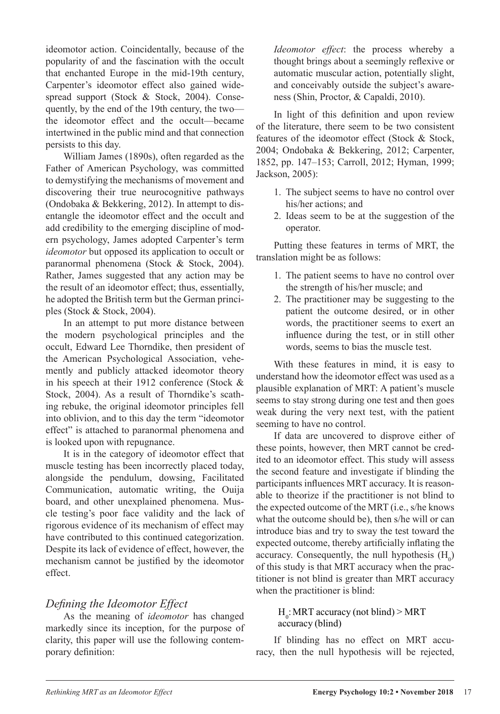ideomotor action. Coincidentally, because of the popularity of and the fascination with the occult that enchanted Europe in the mid-19th century, Carpenter's ideomotor effect also gained widespread support (Stock & Stock, 2004). Consequently, by the end of the 19th century, the two the ideomotor effect and the occult—became intertwined in the public mind and that connection persists to this day.

William James (1890s), often regarded as the Father of American Psychology, was committed to demystifying the mechanisms of movement and discovering their true neurocognitive pathways (Ondobaka & Bekkering, 2012). In attempt to disentangle the ideomotor effect and the occult and add credibility to the emerging discipline of modern psychology, James adopted Carpenter's term *ideomotor* but opposed its application to occult or paranormal phenomena (Stock & Stock, 2004). Rather, James suggested that any action may be the result of an ideomotor effect; thus, essentially, he adopted the British term but the German principles (Stock & Stock, 2004).

In an attempt to put more distance between the modern psychological principles and the occult, Edward Lee Thorndike, then president of the American Psychological Association, vehemently and publicly attacked ideomotor theory in his speech at their 1912 conference (Stock & Stock, 2004). As a result of Thorndike's scathing rebuke, the original ideomotor principles fell into oblivion, and to this day the term "ideomotor effect" is attached to paranormal phenomena and is looked upon with repugnance.

It is in the category of ideomotor effect that muscle testing has been incorrectly placed today, alongside the pendulum, dowsing, Facilitated Communication, automatic writing, the Ouija board, and other unexplained phenomena. Muscle testing's poor face validity and the lack of rigorous evidence of its mechanism of effect may have contributed to this continued categorization. Despite its lack of evidence of effect, however, the mechanism cannot be justified by the ideomotor effect.

# *Defining the Ideomotor Effect*

As the meaning of *ideomotor* has changed markedly since its inception, for the purpose of clarity, this paper will use the following contemporary definition:

*Ideomotor effect*: the process whereby a thought brings about a seemingly reflexive or automatic muscular action, potentially slight, and conceivably outside the subject's awareness (Shin, Proctor, & Capaldi, 2010).

In light of this definition and upon review of the literature, there seem to be two consistent features of the ideomotor effect (Stock & Stock, 2004; Ondobaka & Bekkering, 2012; Carpenter, 1852, pp. 147–153; Carroll, 2012; Hyman, 1999; Jackson, 2005):

- 1. The subject seems to have no control over his/her actions; and
- 2. Ideas seem to be at the suggestion of the operator.

Putting these features in terms of MRT, the translation might be as follows:

- 1. The patient seems to have no control over the strength of his/her muscle; and
- 2. The practitioner may be suggesting to the patient the outcome desired, or in other words, the practitioner seems to exert an influence during the test, or in still other words, seems to bias the muscle test.

With these features in mind, it is easy to understand how the ideomotor effect was used as a plausible explanation of MRT: A patient's muscle seems to stay strong during one test and then goes weak during the very next test, with the patient seeming to have no control.

If data are uncovered to disprove either of these points, however, then MRT cannot be credited to an ideomotor effect. This study will assess the second feature and investigate if blinding the participants influences MRT accuracy. It is reasonable to theorize if the practitioner is not blind to the expected outcome of the MRT (i.e., s/he knows what the outcome should be), then s/he will or can introduce bias and try to sway the test toward the expected outcome, thereby artificially inflating the accuracy. Consequently, the null hypothesis  $(H_0)$ of this study is that MRT accuracy when the practitioner is not blind is greater than MRT accuracy when the practitioner is blind:

### $H_0$ : MRT accuracy (not blind) > MRT accuracy (blind)

If blinding has no effect on MRT accuracy, then the null hypothesis will be rejected,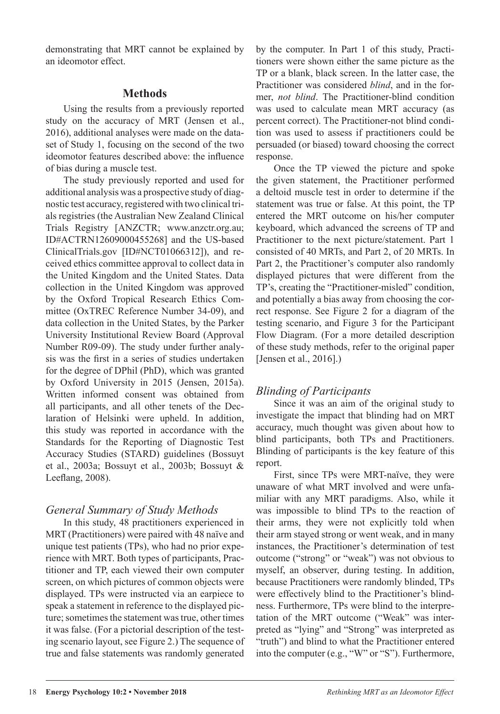demonstrating that MRT cannot be explained by an ideomotor effect.

# **Methods**

Using the results from a previously reported study on the accuracy of MRT (Jensen et al., 2016), additional analyses were made on the dataset of Study 1, focusing on the second of the two ideomotor features described above: the influence of bias during a muscle test.

The study previously reported and used for additional analysis was a prospective study of diagnostic test accuracy, registered with two clinical trials registries (the Australian New Zealand Clinical Trials Registry [ANZCTR; www.anzctr.org.au; ID#ACTRN12609000455268] and the US-based ClinicalTrials.gov [ID#NCT01066312]), and received ethics committee approval to collect data in the United Kingdom and the United States. Data collection in the United Kingdom was approved by the Oxford Tropical Research Ethics Committee (OxTREC Reference Number 34-09), and data collection in the United States, by the Parker University Institutional Review Board (Approval Number R09-09). The study under further analysis was the first in a series of studies undertaken for the degree of DPhil (PhD), which was granted by Oxford University in 2015 (Jensen, 2015a). Written informed consent was obtained from all participants, and all other tenets of the Declaration of Helsinki were upheld. In addition, this study was reported in accordance with the Standards for the Reporting of Diagnostic Test Accuracy Studies (STARD) guidelines (Bossuyt et al., 2003a; Bossuyt et al., 2003b; Bossuyt & Leeflang, 2008).

# *General Summary of Study Methods*

In this study, 48 practitioners experienced in MRT (Practitioners) were paired with 48 naïve and unique test patients (TPs), who had no prior experience with MRT. Both types of participants, Practitioner and TP, each viewed their own computer screen, on which pictures of common objects were displayed. TPs were instructed via an earpiece to speak a statement in reference to the displayed picture; sometimes the statement was true, other times it was false. (For a pictorial description of the testing scenario layout, see Figure 2.) The sequence of true and false statements was randomly generated

by the computer. In Part 1 of this study, Practitioners were shown either the same picture as the TP or a blank, black screen. In the latter case, the Practitioner was considered *blind*, and in the former, *not blind*. The Practitioner-blind condition was used to calculate mean MRT accuracy (as percent correct). The Practitioner-not blind condition was used to assess if practitioners could be persuaded (or biased) toward choosing the correct response.

Once the TP viewed the picture and spoke the given statement, the Practitioner performed a deltoid muscle test in order to determine if the statement was true or false. At this point, the TP entered the MRT outcome on his/her computer keyboard, which advanced the screens of TP and Practitioner to the next picture/statement. Part 1 consisted of 40 MRTs, and Part 2, of 20 MRTs. In Part 2, the Practitioner's computer also randomly displayed pictures that were different from the TP's, creating the "Practitioner-misled" condition, and potentially a bias away from choosing the correct response. See Figure 2 for a diagram of the testing scenario, and Figure 3 for the Participant Flow Diagram. (For a more detailed description of these study methods, refer to the original paper [Jensen et al., 2016].)

# *Blinding of Participants*

Since it was an aim of the original study to investigate the impact that blinding had on MRT accuracy, much thought was given about how to blind participants, both TPs and Practitioners. Blinding of participants is the key feature of this report.

First, since TPs were MRT-naïve, they were unaware of what MRT involved and were unfamiliar with any MRT paradigms. Also, while it was impossible to blind TPs to the reaction of their arms, they were not explicitly told when their arm stayed strong or went weak, and in many instances, the Practitioner's determination of test outcome ("strong" or "weak") was not obvious to myself, an observer, during testing. In addition, because Practitioners were randomly blinded, TPs were effectively blind to the Practitioner's blindness. Furthermore, TPs were blind to the interpretation of the MRT outcome ("Weak" was interpreted as "lying" and "Strong" was interpreted as "truth") and blind to what the Practitioner entered into the computer (e.g., "W" or "S"). Furthermore,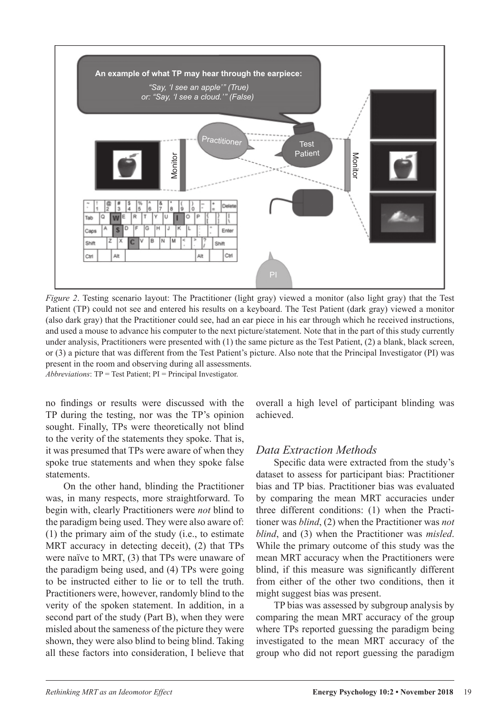

*Figure 2*. Testing scenario layout: The Practitioner (light gray) viewed a monitor (also light gray) that the Test Patient (TP) could not see and entered his results on a keyboard. The Test Patient (dark gray) viewed a monitor (also dark gray) that the Practitioner could see, had an ear piece in his ear through which he received instructions, and used a mouse to advance his computer to the next picture/statement. Note that in the part of this study currently under analysis, Practitioners were presented with (1) the same picture as the Test Patient, (2) a blank, black screen, or (3) a picture that was different from the Test Patient's picture. Also note that the Principal Investigator (PI) was present in the room and observing during all assessments.

*Abbreviations*: TP = Test Patient; PI = Principal Investigator.

no findings or results were discussed with the TP during the testing, nor was the TP's opinion sought. Finally, TPs were theoretically not blind to the verity of the statements they spoke. That is, it was presumed that TPs were aware of when they spoke true statements and when they spoke false statements.

On the other hand, blinding the Practitioner was, in many respects, more straightforward. To begin with, clearly Practitioners were *not* blind to the paradigm being used. They were also aware of: (1) the primary aim of the study (i.e., to estimate MRT accuracy in detecting deceit), (2) that TPs were naïve to MRT, (3) that TPs were unaware of the paradigm being used, and (4) TPs were going to be instructed either to lie or to tell the truth. Practitioners were, however, randomly blind to the verity of the spoken statement. In addition, in a second part of the study (Part B), when they were misled about the sameness of the picture they were shown, they were also blind to being blind. Taking all these factors into consideration, I believe that

overall a high level of participant blinding was achieved.

# *Data Extraction Methods*

Specific data were extracted from the study's dataset to assess for participant bias: Practitioner bias and TP bias. Practitioner bias was evaluated by comparing the mean MRT accuracies under three different conditions: (1) when the Practitioner was *blind*, (2) when the Practitioner was *not blind*, and (3) when the Practitioner was *misled*. While the primary outcome of this study was the mean MRT accuracy when the Practitioners were blind, if this measure was significantly different from either of the other two conditions, then it might suggest bias was present.

TP bias was assessed by subgroup analysis by comparing the mean MRT accuracy of the group where TPs reported guessing the paradigm being investigated to the mean MRT accuracy of the group who did not report guessing the paradigm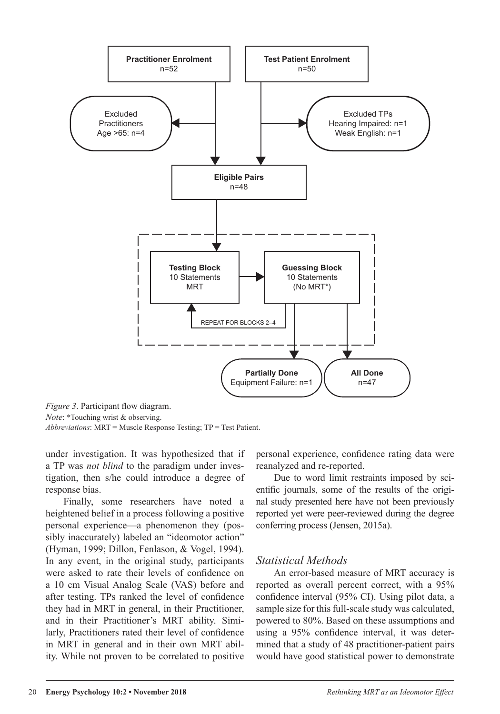

*Figure 3*. Participant flow diagram. *Note*: \*Touching wrist & observing.

*Abbreviations*: MRT = Muscle Response Testing; TP = Test Patient.

under investigation. It was hypothesized that if a TP was *not blind* to the paradigm under investigation, then s/he could introduce a degree of response bias.

Finally, some researchers have noted a heightened belief in a process following a positive personal experience—a phenomenon they (possibly inaccurately) labeled an "ideomotor action" (Hyman, 1999; Dillon, Fenlason, & Vogel, 1994). In any event, in the original study, participants were asked to rate their levels of confidence on a 10 cm Visual Analog Scale (VAS) before and after testing. TPs ranked the level of confidence they had in MRT in general, in their Practitioner, and in their Practitioner's MRT ability. Similarly, Practitioners rated their level of confidence in MRT in general and in their own MRT ability. While not proven to be correlated to positive

personal experience, confidence rating data were reanalyzed and re-reported.

Due to word limit restraints imposed by scientific journals, some of the results of the original study presented here have not been previously reported yet were peer-reviewed during the degree conferring process (Jensen, 2015a).

# *Statistical Methods*

An error-based measure of MRT accuracy is reported as overall percent correct, with a 95% confidence interval (95% CI). Using pilot data, a sample size for this full-scale study was calculated, powered to 80%. Based on these assumptions and using a 95% confidence interval, it was determined that a study of 48 practitioner-patient pairs would have good statistical power to demonstrate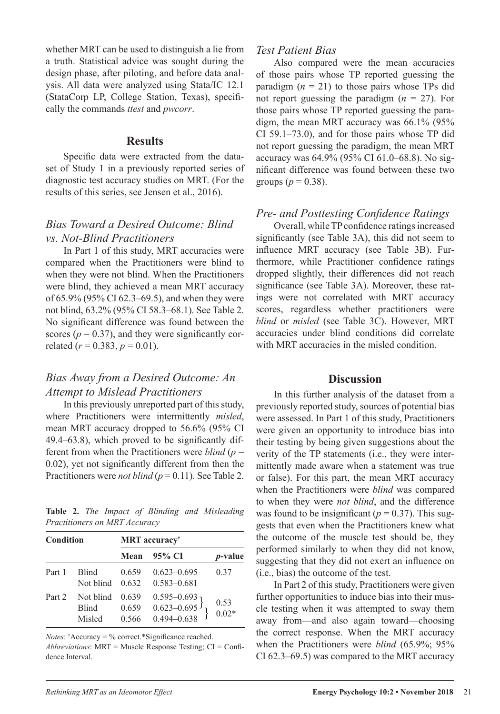whether MRT can be used to distinguish a lie from a truth. Statistical advice was sought during the design phase, after piloting, and before data analysis. All data were analyzed using Stata/IC 12.1 (StataCorp LP, College Station, Texas), specifically the commands *ttest* and *pwcorr*.

#### **Results**

Specific data were extracted from the dataset of Study 1 in a previously reported series of diagnostic test accuracy studies on MRT. (For the results of this series, see Jensen et al., 2016).

# *Bias Toward a Desired Outcome: Blind vs. Not-Blind Practitioners*

In Part 1 of this study, MRT accuracies were compared when the Practitioners were blind to when they were not blind. When the Practitioners were blind, they achieved a mean MRT accuracy of 65.9% (95% CI 62.3–69.5), and when they were not blind, 63.2% (95% CI 58.3–68.1). See Table 2. No significant difference was found between the scores  $(p = 0.37)$ , and they were significantly correlated  $(r = 0.383, p = 0.01)$ .

### *Bias Away from a Desired Outcome: An Attempt to Mislead Practitioners*

In this previously unreported part of this study, where Practitioners were intermittently *misled*, mean MRT accuracy dropped to 56.6% (95% CI 49.4–63.8), which proved to be significantly different from when the Practitioners were *blind* (*p* = 0.02), yet not significantly different from then the Practitioners were *not blind* (*p* = 0.11). See Table 2.

|  |                               |  | <b>Table 2.</b> The Impact of Blinding and Misleading |
|--|-------------------------------|--|-------------------------------------------------------|
|  | Practitioners on MRT Accuracy |  |                                                       |

| Condition |                                     | <b>MRT</b> accuracy <sup>†</sup> |                                                              |                 |  |  |  |
|-----------|-------------------------------------|----------------------------------|--------------------------------------------------------------|-----------------|--|--|--|
|           |                                     | Mean                             | - 95% CI                                                     | <i>p</i> -value |  |  |  |
| Part 1    | <b>Blind</b><br>Not blind           | 0.659<br>0.632                   | $0.623 - 0.695$<br>$0.583 - 0.681$                           | 0.37            |  |  |  |
| Part 2    | Not blind<br><b>Blind</b><br>Misled | 0.639<br>0.659<br>0.566          | $0.595 - 0.693$ <sub>0.623</sub> -0.695 }<br>$0.494 - 0.638$ | 0.53<br>$0.02*$ |  |  |  |

*Notes*: † Accuracy = % correct.\*Significance reached.

*Abbreviations*: MRT = Muscle Response Testing; CI = Confidence Interval.

### *Test Patient Bias*

Also compared were the mean accuracies of those pairs whose TP reported guessing the paradigm  $(n = 21)$  to those pairs whose TPs did not report guessing the paradigm (*n* = 27). For those pairs whose TP reported guessing the paradigm, the mean MRT accuracy was 66.1% (95% CI 59.1–73.0), and for those pairs whose TP did not report guessing the paradigm, the mean MRT accuracy was 64.9% (95% CI 61.0–68.8). No significant difference was found between these two groups ( $p = 0.38$ ).

#### *Pre- and Posttesting Confidence Ratings*

Overall, while TP confidence ratings increased significantly (see Table 3A), this did not seem to influence MRT accuracy (see Table 3B). Furthermore, while Practitioner confidence ratings dropped slightly, their differences did not reach significance (see Table 3A). Moreover, these ratings were not correlated with MRT accuracy scores, regardless whether practitioners were *blind* or *misled* (see Table 3C). However, MRT accuracies under blind conditions did correlate with MRT accuracies in the misled condition.

#### **Discussion**

In this further analysis of the dataset from a previously reported study, sources of potential bias were assessed. In Part 1 of this study, Practitioners were given an opportunity to introduce bias into their testing by being given suggestions about the verity of the TP statements (i.e., they were intermittently made aware when a statement was true or false). For this part, the mean MRT accuracy when the Practitioners were *blind* was compared to when they were *not blind*, and the difference was found to be insignificant ( $p = 0.37$ ). This suggests that even when the Practitioners knew what the outcome of the muscle test should be, they performed similarly to when they did not know, suggesting that they did not exert an influence on (i.e., bias) the outcome of the test.

In Part 2 of this study, Practitioners were given further opportunities to induce bias into their muscle testing when it was attempted to sway them away from—and also again toward—choosing the correct response. When the MRT accuracy when the Practitioners were *blind* (65.9%; 95% CI 62.3–69.5) was compared to the MRT accuracy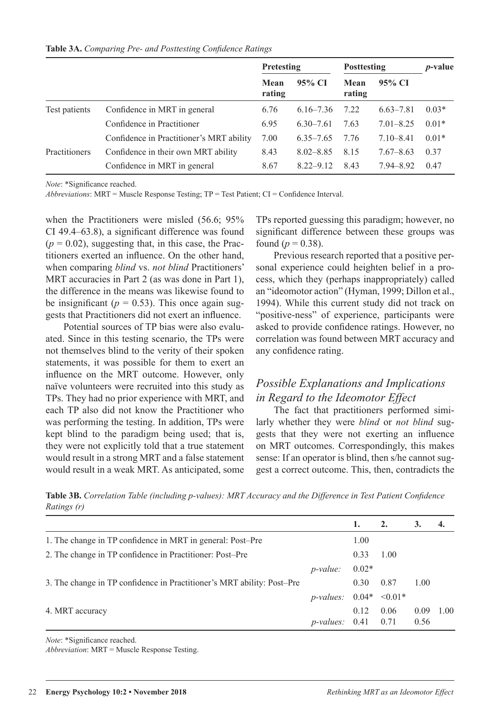|               |                                          | Pretesting     |               | <b>Posttesting</b> |               | <i>p</i> -value |  |
|---------------|------------------------------------------|----------------|---------------|--------------------|---------------|-----------------|--|
|               |                                          | Mean<br>rating | 95% CI        | Mean<br>rating     | 95% CI        |                 |  |
| Test patients | Confidence in MRT in general             | 6.76           | $6.16 - 7.36$ | 7.22               | $6.63 - 7.81$ | $0.03*$         |  |
|               | Confidence in Practitioner               | 6.95           | $6.30 - 7.61$ | 7.63               | $7.01 - 8.25$ | $0.01*$         |  |
|               | Confidence in Practitioner's MRT ability | 7.00           | $6.35 - 7.65$ | 7.76               | $7.10 - 8.41$ | $0.01*$         |  |
| Practitioners | Confidence in their own MRT ability      | 8.43           | $8.02 - 8.85$ | 8.15               | $7.67 - 8.63$ | 0.37            |  |
|               | Confidence in MRT in general             | 8.67           | $8.22 - 9.12$ | 8.43               | $7.94 - 8.92$ | 0.47            |  |

**Table 3A.** *Comparing Pre- and Posttesting Confidence Ratings*

*Note*: \*Significance reached.

*Abbreviations*: MRT = Muscle Response Testing; TP = Test Patient; CI = Confidence Interval.

when the Practitioners were misled (56.6; 95%) CI 49.4–63.8), a significant difference was found  $(p = 0.02)$ , suggesting that, in this case, the Practitioners exerted an influence. On the other hand, when comparing *blind* vs. *not blind* Practitioners' MRT accuracies in Part 2 (as was done in Part 1), the difference in the means was likewise found to be insignificant ( $p = 0.53$ ). This once again suggests that Practitioners did not exert an influence.

Potential sources of TP bias were also evaluated. Since in this testing scenario, the TPs were not themselves blind to the verity of their spoken statements, it was possible for them to exert an influence on the MRT outcome. However, only naïve volunteers were recruited into this study as TPs. They had no prior experience with MRT, and each TP also did not know the Practitioner who was performing the testing. In addition, TPs were kept blind to the paradigm being used; that is, they were not explicitly told that a true statement would result in a strong MRT and a false statement would result in a weak MRT. As anticipated, some TPs reported guessing this paradigm; however, no significant difference between these groups was found ( $p = 0.38$ ).

Previous research reported that a positive personal experience could heighten belief in a process, which they (perhaps inappropriately) called an "ideomotor action" (Hyman, 1999; Dillon et al., 1994). While this current study did not track on "positive-ness" of experience, participants were asked to provide confidence ratings. However, no correlation was found between MRT accuracy and any confidence rating.

# *Possible Explanations and Implications in Regard to the Ideomotor Effect*

The fact that practitioners performed similarly whether they were *blind* or *not blind* suggests that they were not exerting an influence on MRT outcomes. Correspondingly, this makes sense: If an operator is blind, then s/he cannot suggest a correct outcome. This, then, contradicts the

**Table 3B.** *Correlation Table (including p-values): MRT Accuracy and the Difference in Test Patient Confidence Ratings (r)*

|                                                                        |                                   |         | 2.   | 3.          | 4. |
|------------------------------------------------------------------------|-----------------------------------|---------|------|-------------|----|
| 1. The change in TP confidence in MRT in general: Post-Pre             |                                   | 1.00    |      |             |    |
| 2. The change in TP confidence in Practitioner: Post-Pre               |                                   | 0.33    | 1.00 |             |    |
|                                                                        | $p$ -value:                       | $0.02*$ |      |             |    |
| 3. The change in TP confidence in Practitioner's MRT ability: Post-Pre |                                   | 0.30    | 0.87 | 1.00        |    |
|                                                                        | <i>p</i> -values: $0.04* < 0.01*$ |         |      |             |    |
| 4. MRT accuracy                                                        |                                   | 0.12    | 0.06 | $0.09$ 1.00 |    |
|                                                                        | <i>p</i> -values: $0.41$ $0.71$   |         |      | 0.56        |    |

*Note*: \*Significance reached.

*Abbreviation*: MRT = Muscle Response Testing.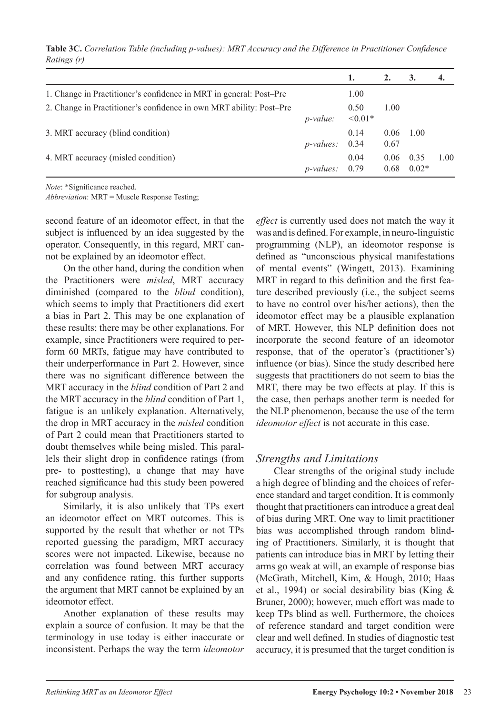**Table 3C.** *Correlation Table (including p-values): MRT Accuracy and the Difference in Practitioner Confidence Ratings (r)*

|                                                                     |                     |                      | 2.           | 3.              | 4.   |
|---------------------------------------------------------------------|---------------------|----------------------|--------------|-----------------|------|
| 1. Change in Practitioner's confidence in MRT in general: Post-Pre  |                     | 1.00                 |              |                 |      |
| 2. Change in Practitioner's confidence in own MRT ability: Post-Pre | $p$ -value:         | 0.50<br>$\leq 0.01*$ | 1.00         |                 |      |
| 3. MRT accuracy (blind condition)                                   | $p$ -values: $0.34$ | 0.14                 | 0.06<br>0.67 | 1.00            |      |
| 4. MRT accuracy (misled condition)                                  | $p$ -values:        | 0.04<br>0.79         | 0.06<br>0.68 | 0.35<br>$0.02*$ | 1.00 |

*Note*: \*Significance reached.

*Abbreviation*: MRT = Muscle Response Testing;

second feature of an ideomotor effect, in that the subject is influenced by an idea suggested by the operator. Consequently, in this regard, MRT cannot be explained by an ideomotor effect.

On the other hand, during the condition when the Practitioners were *misled*, MRT accuracy diminished (compared to the *blind* condition), which seems to imply that Practitioners did exert a bias in Part 2. This may be one explanation of these results; there may be other explanations. For example, since Practitioners were required to perform 60 MRTs, fatigue may have contributed to their underperformance in Part 2. However, since there was no significant difference between the MRT accuracy in the *blind* condition of Part 2 and the MRT accuracy in the *blind* condition of Part 1, fatigue is an unlikely explanation. Alternatively, the drop in MRT accuracy in the *misled* condition of Part 2 could mean that Practitioners started to doubt themselves while being misled. This parallels their slight drop in confidence ratings (from pre- to posttesting), a change that may have reached significance had this study been powered for subgroup analysis.

Similarly, it is also unlikely that TPs exert an ideomotor effect on MRT outcomes. This is supported by the result that whether or not TPs reported guessing the paradigm, MRT accuracy scores were not impacted. Likewise, because no correlation was found between MRT accuracy and any confidence rating, this further supports the argument that MRT cannot be explained by an ideomotor effect.

Another explanation of these results may explain a source of confusion. It may be that the terminology in use today is either inaccurate or inconsistent. Perhaps the way the term *ideomotor* 

*effect* is currently used does not match the way it was and is defined. For example, in neuro-linguistic programming (NLP), an ideomotor response is defined as "unconscious physical manifestations of mental events" (Wingett, 2013). Examining MRT in regard to this definition and the first feature described previously (i.e., the subject seems to have no control over his/her actions), then the ideomotor effect may be a plausible explanation of MRT. However, this NLP definition does not incorporate the second feature of an ideomotor response, that of the operator's (practitioner's) influence (or bias). Since the study described here suggests that practitioners do not seem to bias the MRT, there may be two effects at play. If this is the case, then perhaps another term is needed for the NLP phenomenon, because the use of the term *ideomotor effect* is not accurate in this case.

### *Strengths and Limitations*

Clear strengths of the original study include a high degree of blinding and the choices of reference standard and target condition. It is commonly thought that practitioners can introduce a great deal of bias during MRT. One way to limit practitioner bias was accomplished through random blinding of Practitioners. Similarly, it is thought that patients can introduce bias in MRT by letting their arms go weak at will, an example of response bias (McGrath, Mitchell, Kim, & Hough, 2010; Haas et al., 1994) or social desirability bias (King & Bruner, 2000); however, much effort was made to keep TPs blind as well. Furthermore, the choices of reference standard and target condition were clear and well defined. In studies of diagnostic test accuracy, it is presumed that the target condition is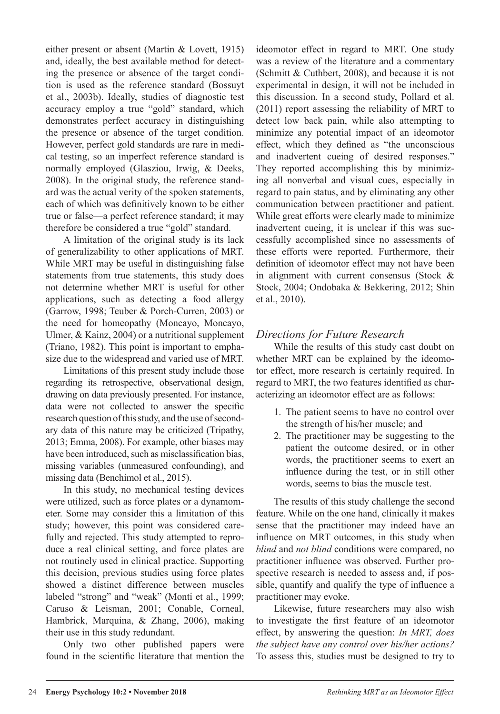either present or absent (Martin & Lovett, 1915) and, ideally, the best available method for detecting the presence or absence of the target condition is used as the reference standard (Bossuyt et al., 2003b). Ideally, studies of diagnostic test accuracy employ a true "gold" standard, which demonstrates perfect accuracy in distinguishing the presence or absence of the target condition. However, perfect gold standards are rare in medical testing, so an imperfect reference standard is normally employed (Glasziou, Irwig, & Deeks, 2008). In the original study, the reference standard was the actual verity of the spoken statements, each of which was definitively known to be either true or false—a perfect reference standard; it may therefore be considered a true "gold" standard.

A limitation of the original study is its lack of generalizability to other applications of MRT. While MRT may be useful in distinguishing false statements from true statements, this study does not determine whether MRT is useful for other applications, such as detecting a food allergy (Garrow, 1998; Teuber & Porch-Curren, 2003) or the need for homeopathy (Moncayo, Moncayo, Ulmer, & Kainz, 2004) or a nutritional supplement (Triano, 1982). This point is important to emphasize due to the widespread and varied use of MRT.

Limitations of this present study include those regarding its retrospective, observational design, drawing on data previously presented. For instance, data were not collected to answer the specific research question of this study, and the use of secondary data of this nature may be criticized (Tripathy, 2013; Emma, 2008). For example, other biases may have been introduced, such as misclassification bias, missing variables (unmeasured confounding), and missing data (Benchimol et al., 2015).

In this study, no mechanical testing devices were utilized, such as force plates or a dynamometer. Some may consider this a limitation of this study; however, this point was considered carefully and rejected. This study attempted to reproduce a real clinical setting, and force plates are not routinely used in clinical practice. Supporting this decision, previous studies using force plates showed a distinct difference between muscles labeled "strong" and "weak" (Monti et al., 1999; Caruso & Leisman, 2001; Conable, Corneal, Hambrick, Marquina, & Zhang, 2006), making their use in this study redundant.

Only two other published papers were found in the scientific literature that mention the ideomotor effect in regard to MRT. One study was a review of the literature and a commentary (Schmitt & Cuthbert, 2008), and because it is not experimental in design, it will not be included in this discussion. In a second study, Pollard et al. (2011) report assessing the reliability of MRT to detect low back pain, while also attempting to minimize any potential impact of an ideomotor effect, which they defined as "the unconscious and inadvertent cueing of desired responses." They reported accomplishing this by minimizing all nonverbal and visual cues, especially in regard to pain status, and by eliminating any other communication between practitioner and patient. While great efforts were clearly made to minimize inadvertent cueing, it is unclear if this was successfully accomplished since no assessments of these efforts were reported. Furthermore, their definition of ideomotor effect may not have been in alignment with current consensus (Stock & Stock, 2004; Ondobaka & Bekkering, 2012; Shin et al., 2010).

# *Directions for Future Research*

While the results of this study cast doubt on whether MRT can be explained by the ideomotor effect, more research is certainly required. In regard to MRT, the two features identified as characterizing an ideomotor effect are as follows:

- 1. The patient seems to have no control over the strength of his/her muscle; and
- 2. The practitioner may be suggesting to the patient the outcome desired, or in other words, the practitioner seems to exert an influence during the test, or in still other words, seems to bias the muscle test.

The results of this study challenge the second feature. While on the one hand, clinically it makes sense that the practitioner may indeed have an influence on MRT outcomes, in this study when *blind* and *not blind* conditions were compared, no practitioner influence was observed. Further prospective research is needed to assess and, if possible, quantify and qualify the type of influence a practitioner may evoke.

Likewise, future researchers may also wish to investigate the first feature of an ideomotor effect, by answering the question: *In MRT, does the subject have any control over his/her actions?*  To assess this, studies must be designed to try to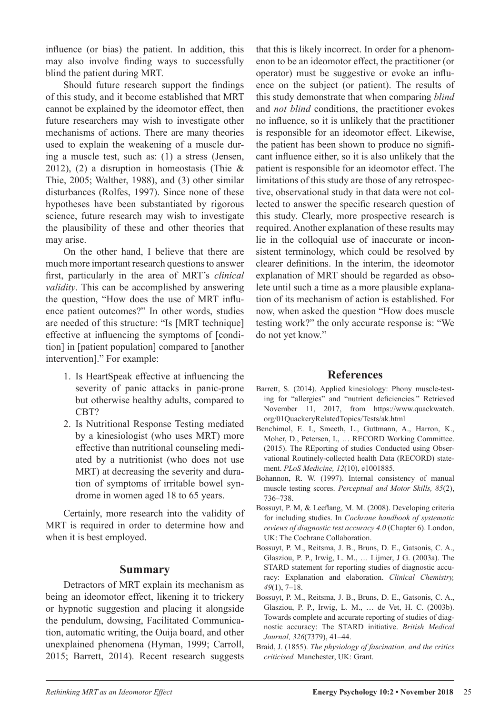influence (or bias) the patient. In addition, this may also involve finding ways to successfully blind the patient during MRT.

Should future research support the findings of this study, and it become established that MRT cannot be explained by the ideomotor effect, then future researchers may wish to investigate other mechanisms of actions. There are many theories used to explain the weakening of a muscle during a muscle test, such as: (1) a stress (Jensen, 2012), (2) a disruption in homeostasis (Thie  $\&$ Thie, 2005; Walther, 1988), and (3) other similar disturbances (Rolfes, 1997). Since none of these hypotheses have been substantiated by rigorous science, future research may wish to investigate the plausibility of these and other theories that may arise.

On the other hand, I believe that there are much more important research questions to answer first, particularly in the area of MRT's *clinical validity*. This can be accomplished by answering the question, "How does the use of MRT influence patient outcomes?" In other words, studies are needed of this structure: "Is [MRT technique] effective at influencing the symptoms of [condition] in [patient population] compared to [another intervention]." For example:

- 1. Is HeartSpeak effective at influencing the severity of panic attacks in panic-prone but otherwise healthy adults, compared to CBT?
- 2. Is Nutritional Response Testing mediated by a kinesiologist (who uses MRT) more effective than nutritional counseling mediated by a nutritionist (who does not use MRT) at decreasing the severity and duration of symptoms of irritable bowel syndrome in women aged 18 to 65 years.

Certainly, more research into the validity of MRT is required in order to determine how and when it is best employed.

#### **Summary**

Detractors of MRT explain its mechanism as being an ideomotor effect, likening it to trickery or hypnotic suggestion and placing it alongside the pendulum, dowsing, Facilitated Communication, automatic writing, the Ouija board, and other unexplained phenomena (Hyman, 1999; Carroll, 2015; Barrett, 2014). Recent research suggests that this is likely incorrect. In order for a phenomenon to be an ideomotor effect, the practitioner (or operator) must be suggestive or evoke an influence on the subject (or patient). The results of this study demonstrate that when comparing *blind* and *not blind* conditions, the practitioner evokes no influence, so it is unlikely that the practitioner is responsible for an ideomotor effect. Likewise, the patient has been shown to produce no significant influence either, so it is also unlikely that the patient is responsible for an ideomotor effect. The limitations of this study are those of any retrospective, observational study in that data were not collected to answer the specific research question of this study. Clearly, more prospective research is required. Another explanation of these results may lie in the colloquial use of inaccurate or inconsistent terminology, which could be resolved by clearer definitions. In the interim, the ideomotor explanation of MRT should be regarded as obsolete until such a time as a more plausible explanation of its mechanism of action is established. For now, when asked the question "How does muscle testing work?" the only accurate response is: "We do not yet know."

### **References**

- Barrett, S. (2014). Applied kinesiology: Phony muscle-testing for "allergies" and "nutrient deficiencies." Retrieved November 11, 2017, from https://www.quackwatch. org/01QuackeryRelatedTopics/Tests/ak.html
- Benchimol, E. I., Smeeth, L., Guttmann, A., Harron, K., Moher, D., Petersen, I., … RECORD Working Committee. (2015). The REporting of studies Conducted using Observational Routinely-collected health Data (RECORD) statement. *PLoS Medicine, 12*(10), e1001885.
- Bohannon, R. W. (1997). Internal consistency of manual muscle testing scores. *Perceptual and Motor Skills, 85*(2), 736–738.
- Bossuyt, P. M, & Leeflang, M. M. (2008). Developing criteria for including studies. In *Cochrane handbook of systematic reviews of diagnostic test accuracy 4.0* (Chapter 6). London, UK: The Cochrane Collaboration.
- Bossuyt, P. M., Reitsma, J. B., Bruns, D. E., Gatsonis, C. A., Glasziou, P. P., Irwig, L. M., … Lijmer, J G. (2003a). The STARD statement for reporting studies of diagnostic accuracy: Explanation and elaboration. *Clinical Chemistry, 49*(1), 7–18.
- Bossuyt, P. M., Reitsma, J. B., Bruns, D. E., Gatsonis, C. A., Glasziou, P. P., Irwig, L. M., … de Vet, H. C. (2003b). Towards complete and accurate reporting of studies of diagnostic accuracy: The STARD initiative. *British Medical Journal, 326*(7379), 41–44.
- Braid, J. (1855). *The physiology of fascination, and the critics criticised.* Manchester, UK: Grant.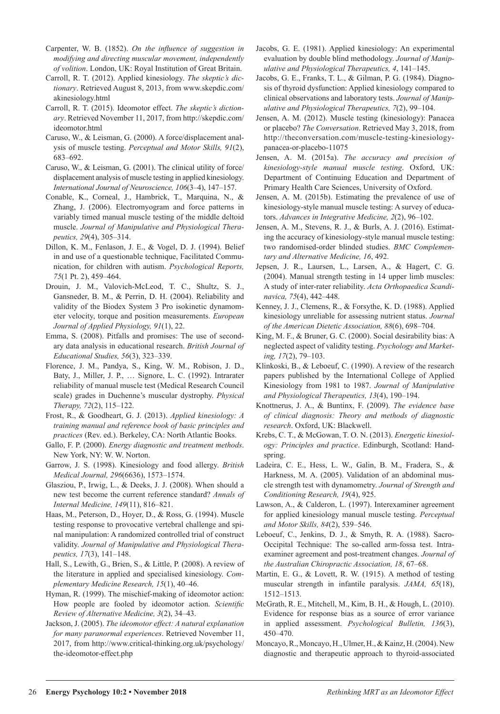- Carpenter, W. B. (1852). *On the influence of suggestion in modifying and directing muscular movement, independently of volition*. London, UK: Royal Institution of Great Britain.
- Carroll, R. T. (2012). Applied kinesiology. *The skeptic's dictionary*. Retrieved August 8, 2013, from www.skepdic.com/ akinesiology.html
- Carroll, R. T. (2015). Ideomotor effect. *The skeptic's dictionary*. Retrieved November 11, 2017, from http://skepdic.com/ ideomotor.html
- Caruso, W., & Leisman, G. (2000). A force/displacement analysis of muscle testing. *Perceptual and Motor Skills, 91*(2), 683–692.
- Caruso, W., & Leisman, G. (2001). The clinical utility of force/ displacement analysis of muscle testing in applied kinesiology. *International Journal of Neuroscience, 106*(3–4), 147–157.
- Conable, K., Corneal, J., Hambrick, T., Marquina, N., & Zhang, J. (2006). Electromyogram and force patterns in variably timed manual muscle testing of the middle deltoid muscle. *Journal of Manipulative and Physiological Therapeutics, 29*(4), 305–314.
- Dillon, K. M., Fenlason, J. E., & Vogel, D. J. (1994). Belief in and use of a questionable technique, Facilitated Communication, for children with autism. *Psychological Reports, 75*(1 Pt. 2), 459–464.
- Drouin, J. M., Valovich-McLeod, T. C., Shultz, S. J., Gansneder, B. M., & Perrin, D. H. (2004). Reliability and validity of the Biodex System 3 Pro isokinetic dynamometer velocity, torque and position measurements. *European Journal of Applied Physiology, 91*(1), 22.
- Emma, S. (2008). Pitfalls and promises: The use of secondary data analysis in educational research. *British Journal of Educational Studies, 56*(3), 323–339.
- Florence, J. M., Pandya, S., King, W. M., Robison, J. D., Baty, J., Miller, J. P., … Signore, L. C. (1992). Intrarater reliability of manual muscle test (Medical Research Council scale) grades in Duchenne's muscular dystrophy. *Physical Therapy, 72*(2), 115–122.
- Frost, R., & Goodheart, G. J. (2013). *Applied kinesiology: A training manual and reference book of basic principles and practices* (Rev. ed.). Berkeley, CA: North Atlantic Books.
- Gallo, F. P. (2000). *Energy diagnostic and treatment methods*. New York, NY: W. W. Norton.
- Garrow, J. S. (1998). Kinesiology and food allergy. *British Medical Journal, 296*(6636), 1573–1574.
- Glasziou, P., Irwig, L., & Deeks, J. J. (2008). When should a new test become the current reference standard? *Annals of Internal Medicine, 149*(11), 816–821.
- Haas, M., Peterson, D., Hoyer, D., & Ross, G. (1994). Muscle testing response to provocative vertebral challenge and spinal manipulation: A randomized controlled trial of construct validity. *Journal of Manipulative and Physiological Therapeutics, 17*(3), 141–148.
- Hall, S., Lewith, G., Brien, S., & Little, P. (2008). A review of the literature in applied and specialised kinesiology. *Complementary Medicine Research, 15*(1), 40–46.
- Hyman, R. (1999). The mischief-making of ideomotor action: How people are fooled by ideomotor action. *Scientific Review of Alternative Medicine, 3*(2), 34–43.
- Jackson, J. (2005). *The ideomotor effect: A natural explanation for many paranormal experiences*. Retrieved November 11, 2017, from http://www.critical-thinking.org.uk/psychology/ the-ideomotor-effect.php
- Jacobs, G. E. (1981). Applied kinesiology: An experimental evaluation by double blind methodology. *Journal of Manipulative and Physiological Therapeutics, 4*, 141–145.
- Jacobs, G. E., Franks, T. L., & Gilman, P. G. (1984). Diagnosis of thyroid dysfunction: Applied kinesiology compared to clinical observations and laboratory tests. *Journal of Manipulative and Physiological Therapeutics, 7*(2), 99–104.
- Jensen, A. M. (2012). Muscle testing (kinesiology): Panacea or placebo? *The Conversation*. Retrieved May 3, 2018, from http://theconversation.com/muscle-testing-kinesiologypanacea-or-placebo-11075
- Jensen, A. M. (2015a). *The accuracy and precision of kinesiology-style manual muscle testing*. Oxford, UK: Department of Continuing Education and Department of Primary Health Care Sciences, University of Oxford.
- Jensen, A. M. (2015b). Estimating the prevalence of use of kinesiology-style manual muscle testing: A survey of educators. *Advances in Integrative Medicine, 2*(2), 96–102.
- Jensen, A. M., Stevens, R. J., & Burls, A. J. (2016). Estimating the accuracy of kinesiology-style manual muscle testing: two randomised-order blinded studies. *BMC Complementary and Alternative Medicine, 16*, 492.
- Jepsen, J. R., Laursen, L., Larsen, A., & Hagert, C. G. (2004). Manual strength testing in 14 upper limb muscles: A study of inter-rater reliability. *Acta Orthopaedica Scandinavica, 75*(4), 442–448.
- Kenney, J. J., Clemens, R., & Forsythe, K. D. (1988). Applied kinesiology unreliable for assessing nutrient status. *Journal of the American Dietetic Association, 88*(6), 698–704.
- King, M. F., & Bruner, G. C. (2000). Social desirability bias: A neglected aspect of validity testing. *Psychology and Marketing, 17*(2), 79–103.
- Klinkoski, B., & Leboeuf, C. (1990). A review of the research papers published by the International College of Applied Kinesiology from 1981 to 1987. *Journal of Manipulative and Physiological Therapeutics, 13*(4), 190–194.
- Knottnerus, J. A., & Buntinx, F. (2009). *The evidence base of clinical diagnosis: Theory and methods of diagnostic research*. Oxford, UK: Blackwell.
- Krebs, C. T., & McGowan, T. O. N. (2013). *Energetic kinesiology: Principles and practice*. Edinburgh, Scotland: Handspring.
- Ladeira, C. E., Hess, L. W., Galin, B. M., Fradera, S., & Harkness, M. A. (2005). Validation of an abdominal muscle strength test with dynamometry. *Journal of Strength and Conditioning Research, 19*(4), 925.
- Lawson, A., & Calderon, L. (1997). Interexaminer agreement for applied kinesiology manual muscle testing. *Perceptual and Motor Skills, 84*(2), 539–546.
- Leboeuf, C., Jenkins, D. J., & Smyth, R. A. (1988). Sacro-Occipital Technique: The so-called arm-fossa test. Intraexaminer agreement and post-treatment changes. *Journal of the Australian Chiropractic Association, 18*, 67–68.
- Martin, E. G., & Lovett, R. W. (1915). A method of testing muscular strength in infantile paralysis. *JAMA, 65*(18), 1512–1513.
- McGrath, R. E., Mitchell, M., Kim, B. H., & Hough, L. (2010). Evidence for response bias as a source of error variance in applied assessment. *Psychological Bulletin, 136*(3), 450–470.
- Moncayo, R., Moncayo, H., Ulmer, H., & Kainz, H. (2004). New diagnostic and therapeutic approach to thyroid-associated